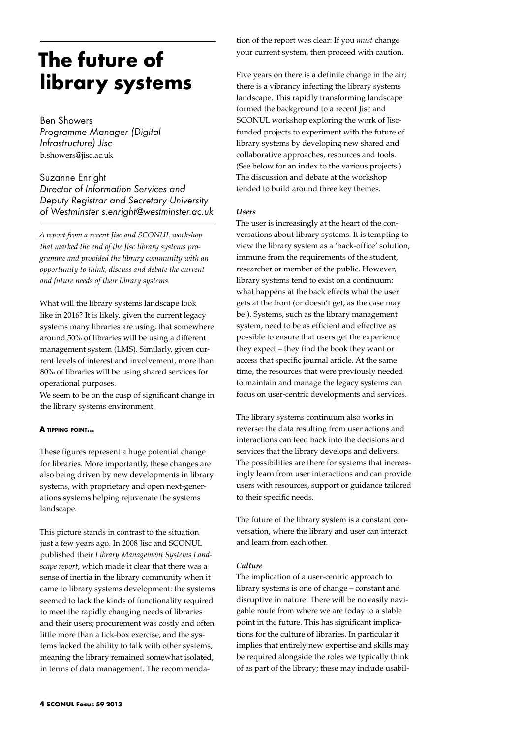# **The future of library systems**

Ben Showers *Programme Manager (Digital Infrastructure) Jisc*  b.showers@jisc.ac.uk

Suzanne Enright *Director of Information Services and Deputy Registrar and Secretary University of Westminster s.enright@westminster.ac.uk*

*A report from a recent Jisc and SCONUL workshop that marked the end of the Jisc library systems programme and provided the library community with an opportunity to think, discuss and debate the current and future needs of their library systems.* 

What will the library systems landscape look like in 2016? It is likely, given the current legacy systems many libraries are using, that somewhere around 50% of libraries will be using a different management system (LMS). Similarly, given current levels of interest and involvement, more than 80% of libraries will be using shared services for operational purposes.

We seem to be on the cusp of significant change in the library systems environment.

## **A tipping point…**

These figures represent a huge potential change for libraries. More importantly, these changes are also being driven by new developments in library systems, with proprietary and open next-generations systems helping rejuvenate the systems landscape.

This picture stands in contrast to the situation just a few years ago. In 2008 Jisc and SCONUL published their *Library Management Systems Landscape report*, which made it clear that there was a sense of inertia in the library community when it came to library systems development: the systems seemed to lack the kinds of functionality required to meet the rapidly changing needs of libraries and their users; procurement was costly and often little more than a tick-box exercise; and the systems lacked the ability to talk with other systems, meaning the library remained somewhat isolated, in terms of data management. The recommenda-

tion of the report was clear: If you *must* change your current system, then proceed with caution.

Five years on there is a definite change in the air; there is a vibrancy infecting the library systems landscape. This rapidly transforming landscape formed the background to a recent Jisc and SCONUL workshop exploring the work of Jiscfunded projects to experiment with the future of library systems by developing new shared and collaborative approaches, resources and tools. (See below for an index to the various projects.) The discussion and debate at the workshop tended to build around three key themes.

## *Users*

The user is increasingly at the heart of the conversations about library systems. It is tempting to view the library system as a 'back-office' solution, immune from the requirements of the student, researcher or member of the public. However, library systems tend to exist on a continuum: what happens at the back effects what the user gets at the front (or doesn't get, as the case may be!). Systems, such as the library management system, need to be as efficient and effective as possible to ensure that users get the experience they expect – they find the book they want or access that specific journal article. At the same time, the resources that were previously needed to maintain and manage the legacy systems can focus on user-centric developments and services.

The library systems continuum also works in reverse: the data resulting from user actions and interactions can feed back into the decisions and services that the library develops and delivers. The possibilities are there for systems that increasingly learn from user interactions and can provide users with resources, support or guidance tailored to their specific needs.

The future of the library system is a constant conversation, where the library and user can interact and learn from each other.

## *Culture*

The implication of a user-centric approach to library systems is one of change – constant and disruptive in nature. There will be no easily navigable route from where we are today to a stable point in the future. This has significant implications for the culture of libraries. In particular it implies that entirely new expertise and skills may be required alongside the roles we typically think of as part of the library; these may include usabil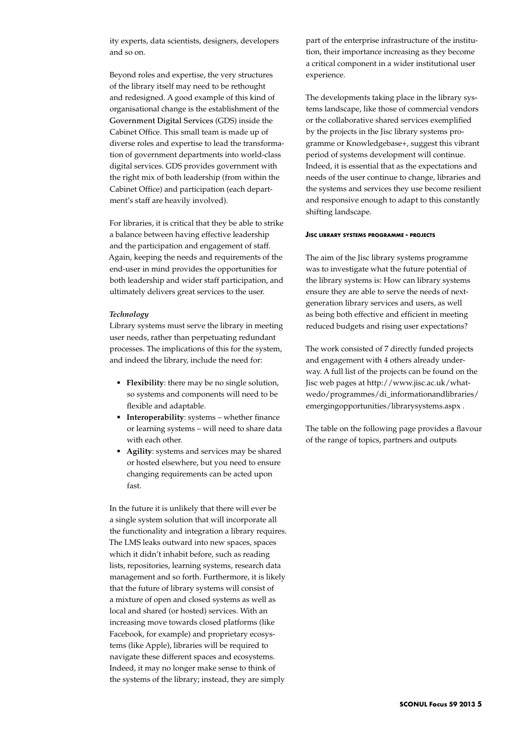ity experts, data scientists, designers, developers and so on.

Beyond roles and expertise, the very structures of the library itself may need to be rethought and redesigned. A good example of this kind of organisational change is the establishment of the Government Digital Services (GDS) inside the Cabinet Office. This small team is made up of diverse roles and expertise to lead the transformation of government departments into world-class digital services. GDS provides government with the right mix of both leadership (from within the Cabinet Office) and participation (each department's staff are heavily involved).

For libraries, it is critical that they be able to strike a balance between having effective leadership and the participation and engagement of staff. Again, keeping the needs and requirements of the end-user in mind provides the opportunities for both leadership and wider staff participation, and ultimately delivers great services to the user.

#### *Technology*

Library systems must serve the library in meeting user needs, rather than perpetuating redundant processes. The implications of this for the system, and indeed the library, include the need for:

- • **Flexibility**: there may be no single solution, so systems and components will need to be flexible and adaptable.
- • **Interoperability**: systems whether finance or learning systems – will need to share data with each other.
- • **Agility**: systems and services may be shared or hosted elsewhere, but you need to ensure changing requirements can be acted upon fast.

In the future it is unlikely that there will ever be a single system solution that will incorporate all the functionality and integration a library requires. The LMS leaks outward into new spaces, spaces which it didn't inhabit before, such as reading lists, repositories, learning systems, research data management and so forth. Furthermore, it is likely that the future of library systems will consist of a mixture of open and closed systems as well as local and shared (or hosted) services. With an increasing move towards closed platforms (like Facebook, for example) and proprietary ecosystems (like Apple), libraries will be required to navigate these different spaces and ecosystems. Indeed, it may no longer make sense to think of the systems of the library; instead, they are simply

part of the enterprise infrastructure of the institution, their importance increasing as they become a critical component in a wider institutional user experience.

The developments taking place in the library systems landscape, like those of commercial vendors or the collaborative shared services exemplified by the projects in the Jisc library systems programme or Knowledgebase+, suggest this vibrant period of systems development will continue. Indeed, it is essential that as the expectations and needs of the user continue to change, libraries and the systems and services they use become resilient and responsive enough to adapt to this constantly shifting landscape.

#### **Jisc library systems programme - projects**

The aim of the Jisc library systems programme was to investigate what the future potential of the library systems is: How can library systems ensure they are able to serve the needs of nextgeneration library services and users, as well as being both effective and efficient in meeting reduced budgets and rising user expectations?

The work consisted of 7 directly funded projects and engagement with 4 others already underway. A full list of the projects can be found on the Jisc web pages at http://www.jisc.ac.uk/whatwedo/programmes/di\_informationandlibraries/ emergingopportunities/librarysystems.aspx .

The table on the following page provides a flavour of the range of topics, partners and outputs